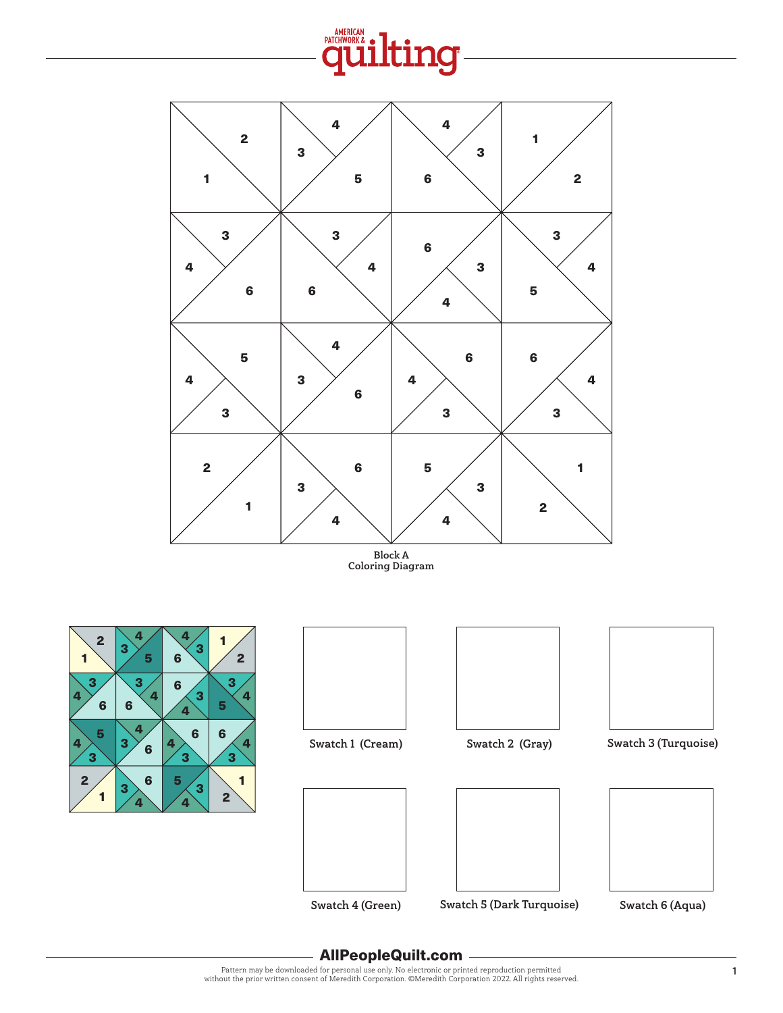





Swatch 4 (Green) Swatch 5 (Dark Turquoise) Swatch 6 (Aqua)



## AllPeopleQuilt.com

Pattern may be downloaded for personal use only. No electronic or printed reproduction permitted without the prior written consent of Meredith Corporation. ©Meredith Corporation 2022. All rights reserved.